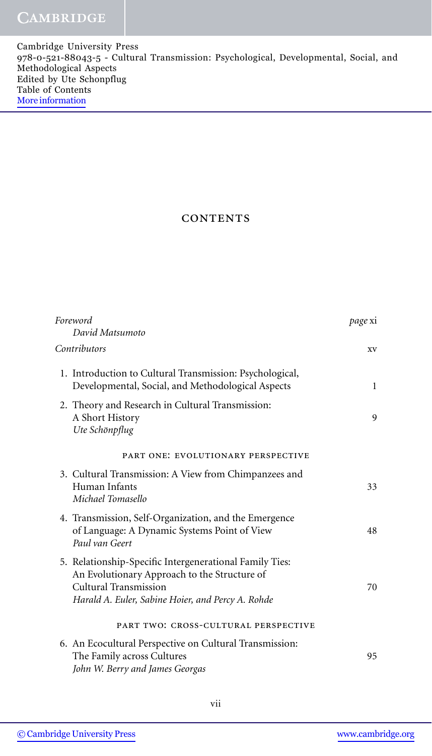| Cambridge University Press                                                           |  |
|--------------------------------------------------------------------------------------|--|
| 978-0-521-88043-5 - Cultural Transmission: Psychological, Developmental, Social, and |  |
| Methodological Aspects                                                               |  |
| Edited by Ute Schonpflug                                                             |  |
| Table of Contents                                                                    |  |
| More information                                                                     |  |
|                                                                                      |  |

## **CONTENTS**

| Foreword<br>David Matsumoto                                                                                                                                                           | page xi      |
|---------------------------------------------------------------------------------------------------------------------------------------------------------------------------------------|--------------|
| Contributors                                                                                                                                                                          | XV           |
| 1. Introduction to Cultural Transmission: Psychological,<br>Developmental, Social, and Methodological Aspects                                                                         | $\mathbf{1}$ |
| 2. Theory and Research in Cultural Transmission:<br>A Short History<br>Ute Schönpflug                                                                                                 | 9            |
| PART ONE: EVOLUTIONARY PERSPECTIVE                                                                                                                                                    |              |
| 3. Cultural Transmission: A View from Chimpanzees and<br>Human Infants<br>Michael Tomasello                                                                                           | 33           |
| 4. Transmission, Self-Organization, and the Emergence<br>of Language: A Dynamic Systems Point of View<br>Paul van Geert                                                               | 48           |
| 5. Relationship-Specific Intergenerational Family Ties:<br>An Evolutionary Approach to the Structure of<br>Cultural Transmission<br>Harald A. Euler, Sabine Hoier, and Percy A. Rohde | 70           |
| PART TWO: CROSS-CULTURAL PERSPECTIVE                                                                                                                                                  |              |
| 6. An Ecocultural Perspective on Cultural Transmission:<br>The Family across Cultures<br>John W. Berry and James Georgas                                                              | 95           |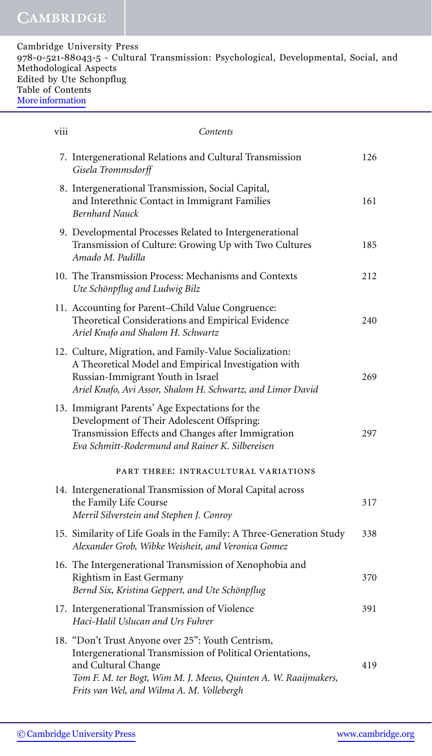| Cambridge University Press                                                           |  |
|--------------------------------------------------------------------------------------|--|
| 978-0-521-88043-5 - Cultural Transmission: Psychological, Developmental, Social, and |  |
| Methodological Aspects                                                               |  |
| Edited by Ute Schonpflug                                                             |  |
| Table of Contents                                                                    |  |
| More information                                                                     |  |
|                                                                                      |  |

| <b>V111</b> | Contents                                                                                                                                                                                                                                              |     |
|-------------|-------------------------------------------------------------------------------------------------------------------------------------------------------------------------------------------------------------------------------------------------------|-----|
|             | 7. Intergenerational Relations and Cultural Transmission<br>Gisela Trommsdorff                                                                                                                                                                        | 126 |
|             | 8. Intergenerational Transmission, Social Capital,<br>and Interethnic Contact in Immigrant Families<br><b>Bernhard Nauck</b>                                                                                                                          | 161 |
|             | 9. Developmental Processes Related to Intergenerational<br>Transmission of Culture: Growing Up with Two Cultures<br>Amado M. Padilla                                                                                                                  | 185 |
|             | 10. The Transmission Process: Mechanisms and Contexts<br>Ute Schönpflug and Ludwig Bilz                                                                                                                                                               | 212 |
|             | 11. Accounting for Parent-Child Value Congruence:<br>Theoretical Considerations and Empirical Evidence<br>Ariel Knafo and Shalom H. Schwartz                                                                                                          | 240 |
|             | 12. Culture, Migration, and Family-Value Socialization:<br>A Theoretical Model and Empirical Investigation with<br>Russian-Immigrant Youth in Israel<br>Ariel Knafo, Avi Assor, Shalom H. Schwartz, and Limor David                                   | 269 |
|             | 13. Immigrant Parents' Age Expectations for the<br>Development of Their Adolescent Offspring:<br>Transmission Effects and Changes after Immigration<br>Eva Schmitt-Rodermund and Rainer K. Silbereisen                                                | 297 |
|             | PART THREE: INTRACULTURAL VARIATIONS                                                                                                                                                                                                                  |     |
|             | 14. Intergenerational Transmission of Moral Capital across<br>the Family Life Course<br>Merril Silverstein and Stephen J. Conroy                                                                                                                      | 317 |
|             | 15. Similarity of Life Goals in the Family: A Three-Generation Study<br>Alexander Grob, Wibke Weisheit, and Veronica Gomez                                                                                                                            | 338 |
|             | 16. The Intergenerational Transmission of Xenophobia and<br>Rightism in East Germany<br>Bernd Six, Kristina Geppert, and Ute Schönpflug                                                                                                               | 370 |
|             | 17. Intergenerational Transmission of Violence<br>Haci-Halil Uslucan and Urs Fuhrer                                                                                                                                                                   | 391 |
|             | 18. "Don't Trust Anyone over 25": Youth Centrism,<br>Intergenerational Transmission of Political Orientations,<br>and Cultural Change<br>Tom F. M. ter Bogt, Wim M. J. Meeus, Quinten A. W. Raaijmakers,<br>Frits van Wel, and Wilma A. M. Vollebergh | 419 |